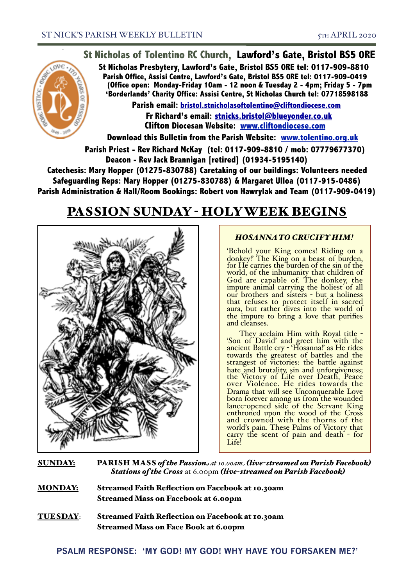

**St Nicholas of Tolentino RC Church, Lawford's Gate, Bristol BS5 0RE**

**St Nicholas Presbytery, Lawford's Gate, Bristol BS5 0RE tel: 0117-909-8810 Parish Office, Assisi Centre, Lawford's Gate, Bristol BS5 0RE tel: 0117-909-0419 (Office open: Monday-Friday 10am - 12 noon & Tuesday 2 - 4pm; Friday 5 - 7pm 'Borderlands' Charity Office: Assisi Centre, St Nicholas Church tel: 07718598188**

**Parish email: [bristol.stnicholasoftolentino@cliftondiocese.com](mailto:bristol.stnicholasoftolentino@cliftondiocese.com) Fr Richard's email: [stnicks.bristol@blueyonder.co.uk](mailto:stnicks.bristol@blueyonder.co.uk) Clifton Diocesan Website: [www.cliftondiocese.com](http://www.cliftondiocese.com)**

**Download this Bulletin from the Parish Website: [www.tolentino.org.uk](http://www.cliftondiocese.com) Parish Priest - Rev Richard McKay (tel: 0117-909-8810 / mob: 07779677370) Deacon - Rev Jack Brannigan [retired] (01934-5195140)** 

**Catechesis: Mary Hopper (01275-830788) Caretaking of our buildings: Volunteers needed Safeguarding Reps: Mary Hopper (01275-830788) & Margaret Ulloa (0117-915-0486) Parish Administration & Hall/Room Bookings: Robert von Hawrylak and Team (0117-909-0419)**

# PASSION SUNDAY - HOLY WEEK BEGINS



# *HOSANNA TO CRUCIFY HIM!*

'Behold your King comes! Riding on a donkey!' The King on a beast of burden, for He carries the burden of the sin of the world, of the inhumanity that children of God are capable of. The donkey, the impure animal carrying the holiest of all our brothers and sisters - but a holiness that refuses to protect itself in sacred aura, but rather dives into the world of the impure to bring a love that purifies and cleanses.

They acclaim Him with Royal title - 'Son of David' and greet him with the ancient Battle cry - 'Hosanna!' as He rides towards the greatest of battles and the strangest of victories: the battle against hate and brutality, sin and unforgiveness; the Victory of Life over Death, Peace over Violence. He rides towards the Drama that will see Unconquerable Love born forever among us from the wounded lance-opened side of the Servant King enthroned upon the wood of the Cross and crowned with the thorns of the world's pain. These Palms of Victory that carry the scent of pain and death - for Life!

SUNDAY: PARISH MASS *of the Passion at 10.00am (live-streamed on Parish Facebook) Stations of the Cross* at 6.00pm *(live-streamed on Parish Facebook)*

MONDAY: Streamed Faith Reflection on Facebook at 10.30am Streamed Mass on Facebook at 6.00pm

TUESDAY: Streamed Faith Reflection on Facebook at 10.30am Streamed Mass on Face Book at 6.00pm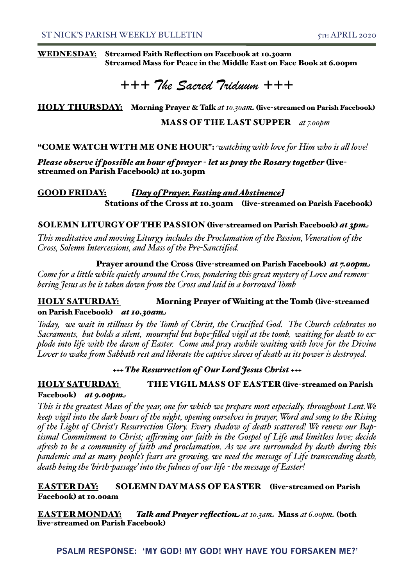#### WEDNESDAY: Streamed Faith Reflection on Facebook at 10.30am Streamed Mass for Peace in the Middle East on Face Book at 6.00pm

*+++ The Sacred Triduum +++* 

HOLY THURSDAY: Morning Prayer & Talk at 10.30am. (live-streamed on Parish Facebook)

MASS OF THE LAST SUPPER *at 7.00pm*

"COME WATCH WITH ME ONE HOUR": *watching with love for Him who is al love!*

*Please observe if possible an hour of prayer - let us pray the Rosary together* (livestreamed on Parish Facebook) at 10.30pm

GOOD FRIDAY: *[Day of Prayer, Fasting and Abstinence]* Stations of the Cross at 10.30am (live-streamed on Parish Facebook)

#### SOLEMN LITURGY OF THE PASSION (live-streamed on Parish Facebook) *at 3pm*

*This meditative and moving Liturgy includes the Proclamation of the Passion, Veneration of the Cross, Solemn Intercessions, and Mass of the Pre-Sanctified.*

 Prayer around the Cross (live-streamed on Parish Facebook) *at 7.00pm Come for a little while quietly around the Cross, pondering this great mystery of Love and remembering Jesus as he is taken down fom the Cross and laid in a borrowed Tomb*

## HOLY SATURDAY: Morning Prayer of Waiting at the Tomb (live-streamed on Parish Facebook) *at 10.30am*

*Today, we wait in stilness by the Tomb of Christ, the Crucified God. The Church celebrates no Sacraments, but holds a silent, mournful but hope-filed vigil at the tomb, waiting for death to explode into life with the dawn of Easter. Come and pray awhile waiting with love for the Divine Lover to wake fom Sabbath rest and liberate the captive slaves of death as its power is destroyed.*

## *+++ The Resurrection of Our Lord Jesus Christ +++*

# HOLY SATURDAY: THE VIGIL MASS OF EASTER (live-streamed on Parish Facebook) *at 9.00pm*

*This is the greatest Mass of the year, one for which we prepare most especialy. throughout Lent.We keep vigil into the dark hours of the night, opening ourselves in prayer, Word and song to the Rising of the Light of Christ's Resurrection Glory. Every shadow of death scattered! We renew our Baptismal Commitment to Christ; affirming our faith in the Gospel of Life and limitless love; decide afesh to be a community of faith and proclamation. As we are surrounded by death during this pandemic and as many people's fears are growing, we need the message of Life transcending death, death being the 'birth-passage' into the fulness of our life - the message of Easter!*

## EASTER DAY: SOLEMN DAY MASS OF EASTER (live-streamed on Parish Facebook) at 10.00am

EASTER MONDAY: Talk and Prayer reflection at 10.3am Mass at 6.00pm (both live-streamed on Parish Facebook)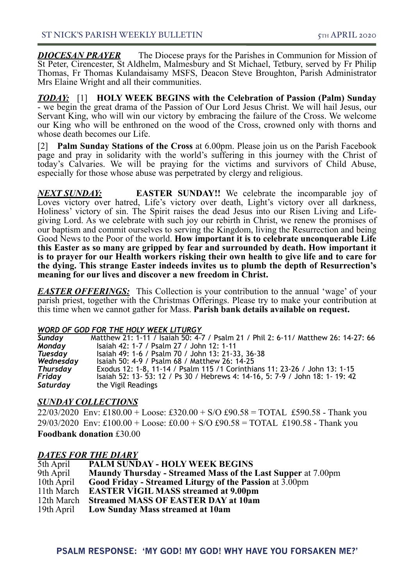*DIOCESAN PRAYER* The Diocese prays for the Parishes in Communion for Mission of St Peter, Cirencester, St Aldhelm, Malmesbury and St Michael, Tetbury, served by Fr Philip Thomas, Fr Thomas Kulandaisamy MSFS, Deacon Steve Broughton, Parish Administrator Mrs Elaine Wright and all their communities.

*TODAY:* [1] **HOLY WEEK BEGINS with the Celebration of Passion (Palm) Sunday** - we begin the great drama of the Passion of Our Lord Jesus Christ. We will hail Jesus, our Servant King, who will win our victory by embracing the failure of the Cross. We welcome our King who will be enthroned on the wood of the Cross, crowned only with thorns and whose death becomes our Life.

[2] **Palm Sunday Stations of the Cross** at 6.00pm. Please join us on the Parish Facebook page and pray in solidarity with the world's suffering in this journey with the Christ of today's Calvaries. We will be praying for the victims and survivors of Child Abuse, especially for those whose abuse was perpetrated by clergy and religious.

*NEXT SUNDAY:* **EASTER SUNDAY!!** We celebrate the incomparable joy of Loves victory over hatred, Life's victory over death, Light's victory over all darkness, Holiness' victory of sin. The Spirit raises the dead Jesus into our Risen Living and Lifegiving Lord. As we celebrate with such joy our rebirth in Christ, we renew the promises of our baptism and commit ourselves to serving the Kingdom, living the Resurrection and being Good News to the Poor of the world. **How important it is to celebrate unconquerable Life this Easter as so many are gripped by fear and surrounded by death. How important it is to prayer for our Health workers risking their own health to give life and to care for the dying. This strange Easter indeeds invites us to plumb the depth of Resurrection's meaning for our lives and discover a new freedom in Christ.**

*EASTER OFFERINGS:* This Collection is your contribution to the annual 'wage' of your parish priest, together with the Christmas Offerings. Please try to make your contribution at this time when we cannot gather for Mass. **Parish bank details available on request.**

#### *WORD OF GOD FOR THE HOLY WEEK LITURGY*

| <b>Sunday</b> | Matthew 21: 1-11 / Isaiah 50: 4-7 / Psalm 21 / Phil 2: 6-11/ Matthew 26: 14-27: 66 |
|---------------|------------------------------------------------------------------------------------|
| <b>Monday</b> | Isaiah 42: 1-7 / Psalm 27 / John 12: 1-11                                          |
| Tuesday       | Isaiah 49: 1-6 / Psalm 70 / John 13: 21-33, 36-38                                  |
| Wednesday     | Isaiah 50: 4-9 / Psalm 68 / Matthew 26: 14-25                                      |
| Thursday      | Exodus 12: 1-8, 11-14 / Psalm 115 /1 Corinthians 11: 23-26 / John 13: 1-15         |
| Friday        | Isaiah 52: 13- 53: 12 / Ps 30 / Hebrews 4: 14-16, 5: 7-9 / John 18: 1- 19: 42      |
| Saturday      | the Vigil Readings                                                                 |

### *SUNDAY COLLECTIONS*

22/03/2020 Env: £180.00 + Loose: £320.00 + S/O £90.58 = TOTAL £590.58 - Thank you  $29/03/2020$  Env: £100.00 + Loose: £0.00 + S/O £90.58 = TOTAL £190.58 - Thank you

**Foodbank donation** £30.00

### *DATES FOR THE DIARY*

| 5th April  | <b>PALM SUNDAY - HOLY WEEK BEGINS</b>                               |
|------------|---------------------------------------------------------------------|
| 9th April  | <b>Maundy Thursday - Streamed Mass of the Last Supper at 7.00pm</b> |
| 10th April | Good Friday - Streamed Liturgy of the Passion at 3.00pm             |
| 11th March | <b>EASTER VIGIL MASS streamed at 9.00pm</b>                         |
| 12th March | <b>Streamed MASS OF EASTER DAY at 10am</b>                          |
|            | 19th April Low Sunday Mass streamed at 10am                         |